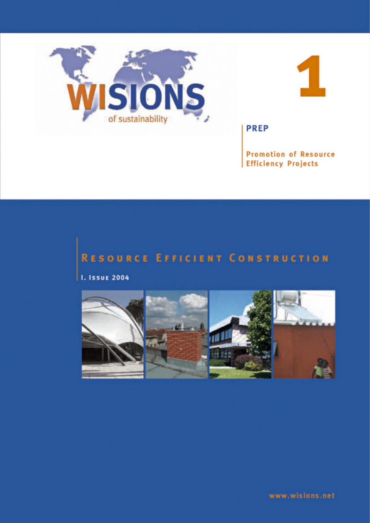



**PREP** 

**Promotion of Resource Efficiency Projects** 

# **RESOURCE EFFICIENT CONSTRUCTION**

**I. Issue 2004** 



www.wisions.net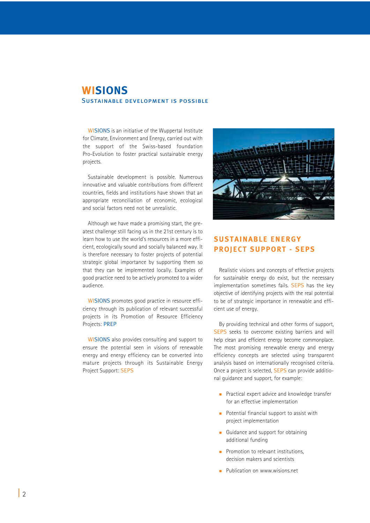## **WISIONS** Sustainable development is possible

WISIONS is an initiative of the Wuppertal Institute for Climate, Environment and Energy, carried out with the support of the Swiss-based foundation Pro-Evolution to foster practical sustainable energy projects.

Sustainable development is possible. Numerous innovative and valuable contributions from different countries, fields and institutions have shown that an appropriate reconciliation of economic, ecological and social factors need not be unrealistic.

Although we have made a promising start, the greatest challenge still facing us in the 21st century is to learn how to use the world's resources in a more efficient, ecologically sound and socially balanced way. It is therefore necessary to foster projects of potential strategic global importance by supporting them so that they can be implemented locally. Examples of good practice need to be actively promoted to a wider audience.

WISIONS promotes good practice in resource efficiency through its publication of relevant successful projects in its Promotion of Resource Efficiency Projects: PREP

WISIONS also provides consulting and support to ensure the potential seen in visions of renewable energy and energy efficiency can be converted into mature projects through its Sustainable Energy Project Support: SEPS



## **SUSTAINABLE ENERGY PROJECT SUPPORT - SEPS**

Realistic visions and concepts of effective projects for sustainable energy do exist, but the necessary implementation sometimes fails. SEPS has the key objective of identifying projects with the real potential to be of strategic importance in renewable and efficient use of energy.

By providing technical and other forms of support, SEPS seeks to overcome existing barriers and will help clean and efficient energy become commonplace. The most promising renewable energy and energy efficiency concepts are selected using transparent analysis based on internationally recognised criteria. Once a project is selected, SEPS can provide additional guidance and support, for example:

- **Practical expert advice and knowledge transfer** for an effective implementation
- **Potential financial support to assist with** project implementation
- Guidance and support for obtaining additional funding
- **Promotion to relevant institutions,** decision makers and scientists
- **Publication on www.wisions.net**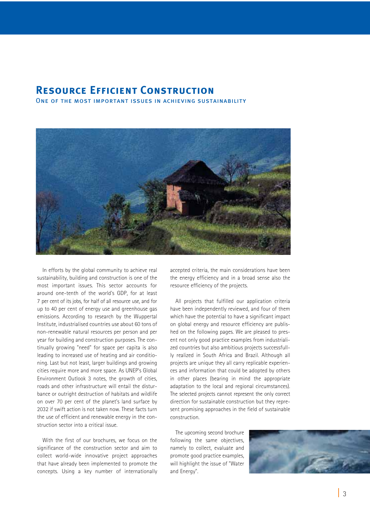## **Resource Efficient Construction**

ONE OF THE MOST IMPORTANT ISSUES IN ACHIEVING SUSTAINABILITY



In efforts by the global community to achieve real sustainability, building and construction is one of the most important issues. This sector accounts for around one-tenth of the world's GDP, for at least 7 per cent of its jobs, for half of all resource use, and for up to 40 per cent of energy use and greenhouse gas emissions. According to research by the Wuppertal Institute, industrialised countries use about 60 tons of non-renewable natural resources per person and per year for building and construction purposes. The continually growing "need" for space per capita is also leading to increased use of heating and air conditioning. Last but not least, larger buildings and growing cities require more and more space. As UNEP's Global Environment Outlook 3 notes, the growth of cities, roads and other infrastructure will entail the disturbance or outright destruction of habitats and wildlife on over 70 per cent of the planet's land surface by 2032 if swift action is not taken now. These facts turn the use of efficient and renewable energy in the construction sector into a critical issue.

With the first of our brochures, we focus on the significance of the construction sector and aim to collect world-wide innovative project approaches that have already been implemented to promote the concepts. Using a key number of internationally accepted criteria, the main considerations have been the energy efficiency and in a broad sense also the resource efficiency of the projects.

All projects that fulfilled our application criteria have been independently reviewed, and four of them which have the potential to have a significant impact on global energy and resource efficiency are published on the following pages. We are pleased to present not only good practice examples from industrialized countries but also ambitious projects successfullly realized in South Africa and Brazil. Although all projects are unique they all carry replicable experiences and information that could be adopted by others in other places (bearing in mind the appropriate adaptation to the local and regional circumstances). The selected projects cannot represent the only correct direction for sustainable construction but they represent promising approaches in the field of sustainable construction.

The upcoming second brochure following the same objectives, namely to collect, evaluate and promote good practice examples, will highlight the issue of "Water and Energy".

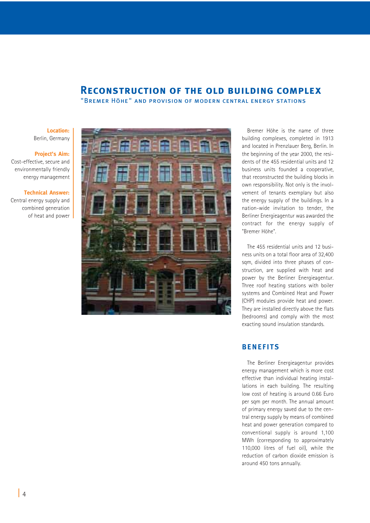## **Reconstruction of the old building complex**

"Bremer Höhe" and provision of modern central energy stations

#### **Location:** Berlin, Germany

#### **Project's Aim:**

Cost-effective, secure and environmentally friendly energy management

#### **Technical Answer:**

Central energy supply and combined generation of heat and power



Bremer Höhe is the name of three building complexes, completed in 1913 and located in Prenzlauer Berg, Berlin. In the beginning of the year 2000, the residents of the 455 residential units and 12 business units founded a cooperative, that reconstructed the building blocks in own responsibility. Not only is the involvement of tenants exemplary but also the energy supply of the buildings. In a nation-wide invitation to tender, the Berliner Energieagentur was awarded the contract for the energy supply of "Bremer Höhe".

The 455 residential units and 12 business units on a total floor area of 32,400 sqm, divided into three phases of construction, are supplied with heat and power by the Berliner Energieagentur. Three roof heating stations with boiler systems and Combined Heat and Power (CHP) modules provide heat and power. They are installed directly above the flats (bedrooms) and comply with the most exacting sound insulation standards.

## **BENEFITS**

The Berliner Energieagentur provides energy management which is more cost effective than individual heating installations in each building. The resulting low cost of heating is around 0.66 Euro per sqm per month. The annual amount of primary energy saved due to the central energy supply by means of combined heat and power generation compared to conventional supply is around 1,100 MWh (corresponding to approximately 110,000 litres of fuel oil), while the reduction of carbon dioxide emission is around 450 tons annually.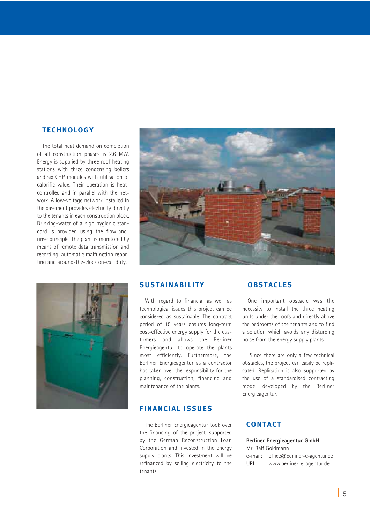#### **TECHNOLOGY**

The total heat demand on completion of all construction phases is 2.6 MW. Energy is supplied by three roof heating stations with three condensing boilers and six CHP modules with utilisation of calorific value. Their operation is heatcontrolled and in parallel with the network. A low-voltage network installed in the basement provides electricity directly to the tenants in each construction block. Drinking-water of a high hygienic standard is provided using the flow-andrinse principle. The plant is monitored by means of remote data transmission and recording, automatic malfunction reporting and around-the-clock on-call duty.





## **SUSTAINABILITY**

With regard to financial as well as technological issues this project can be considered as sustainable. The contract period of 15 years ensures long-term cost-effective energy supply for the customers and allows the Berliner Energieagentur to operate the plants most efficiently. Furthermore, the Berliner Energieagentur as a contractor has taken over the responsibility for the planning, construction, financing and maintenance of the plants.

#### **FINANCIAL ISSUES**

The Berliner Energieagentur took over the financing of the project, supported by the German Reconstruction Loan Corporation and invested in the energy supply plants. This investment will be refinanced by selling electricity to the tenants.

#### **OBSTACLES**

One important obstacle was the necessity to install the three heating units under the roofs and directly above the bedrooms of the tenants and to find a solution which avoids any disturbing noise from the energy supply plants.

Since there are only a few technical obstacles, the project can easily be replicated. Replication is also supported by the use of a standardised contracting model developed by the Berliner Energieagentur.

## **CONTACT**

**Berliner Energieagentur GmbH**  Mr. Ralf Goldmann e-mail: office@berliner-e-agentur.de URL: www.berliner-e-agentur.de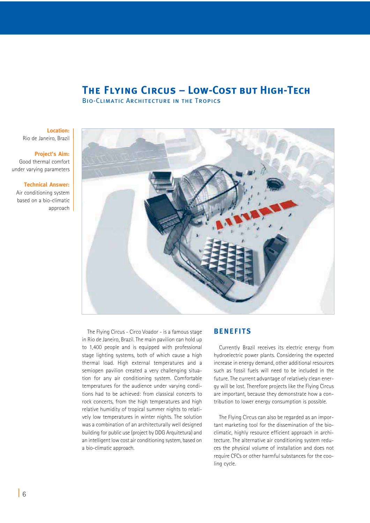## **The Flying Circus – Low-Cost but High-Tech**

Bio-Climatic Architecture in the Tropics

**Location:** Rio de Janeiro, Brazil

**Project's Aim:**  Good thermal comfort under varying parameters

**Technical Answer:**

Air conditioning system based on a bio-climatic approach



The Flying Circus - Circo Voador - is a famous stage in Rio de Janeiro, Brazil. The main pavilion can hold up to 1,400 people and is equipped with professional stage lighting systems, both of which cause a high thermal load. High external temperatures and a semiopen pavilion created a very challenging situation for any air conditioning system. Comfortable temperatures for the audience under varying conditions had to be achieved: from classical concerts to rock concerts, from the high temperatures and high relative humidity of tropical summer nights to relatively low temperatures in winter nights. The solution was a combination of an architecturally well designed building for public use (project by DDG Arquitetura) and an intelligent low cost air conditioning system, based on a bio-climatic approach.

#### **BENEFITS**

Currently Brazil receives its electric energy from hydroelectric power plants. Considering the expected increase in energy demand, other additional resources such as fossil fuels will need to be included in the future. The current advantage of relatively clean energy will be lost. Therefore projects like the Flying Circus are important, because they demonstrate how a contribution to lower energy consumption is possible.

The Flying Circus can also be regarded as an important marketing tool for the dissemination of the bioclimatic, highly resource efficient approach in architecture. The alternative air conditioning system reduces the physical volume of installation and does not require CFCs or other harmful substances for the cooling cycle.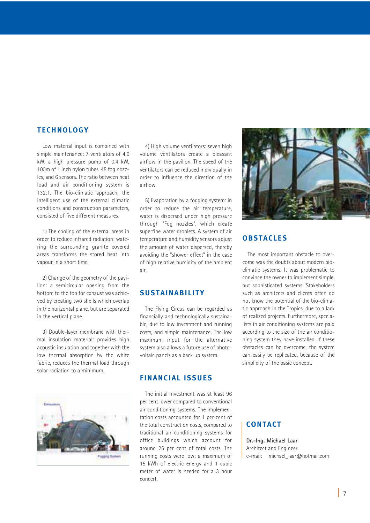#### **TECHNOLOGY**

Low material input is combined with simple maintenance: 7 ventilators of 4.6 kW, a high pressure pump of 0.4 kW, 100m of 1 inch nylon tubes, 45 fog nozzles, and 6 sensors. The ratio between heat load and air conditioning system is 132:1. The bio-climatic approach, the intelligent use of the external climatic conditions and construction parameters, consisted of five different measures:

1) The cooling of the external areas in order to reduce infrared radiation: watering the surrounding granite covered areas transforms the stored heat into vapour in a short time.

2) Change of the geometry of the pavilion: a semicircular opening from the bottom to the top for exhaust was achieved by creating two shells which overlap in the horizontal plane, but are separated in the vertical plane.

3) Double-layer membrane with thermal insulation material: provides high acoustic insulation and together with the low thermal absorption by the white fabric, reduces the thermal load through solar radiation to a minimum.



4) High volume ventilators: seven high volume ventilators create a pleasant airflow in the pavilion. The speed of the ventilators can be reduced individually in order to influence the direction of the airflow.

5) Evaporation by a fogging system: in order to reduce the air temperature, water is dispersed under high pressure through "Fog nozzles", which create superfine water droplets. A system of air temperature and humidity sensors adjust the amount of water dispersed, thereby avoiding the "shower effect" in the case of high relative humidity of the ambient air.

#### **SUSTAINABILITY**

The Flying Circus can be regarded as financially and technologically sustainable, due to low investment and running costs, and simple maintenance. The low maximum input for the alternative system also allows a future use of photovoltaic panels as a back up system.

## **FINANCIAL ISSUES**

The initial investment was at least 96 per cent lower compared to conventional air conditioning systems. The implementation costs accounted for 1 per cent of the total construction costs, compared to traditional air conditioning systems for office buildings which account for around 25 per cent of total costs. The running costs were low: a maximum of 15 kWh of electric energy and 1 cubic meter of water is needed for a 3 hour concert.



## **OBSTACLES**

The most important obstacle to overcome was the doubts about modern bioclimatic systems. It was problematic to convince the owner to implement simple, but sophisticated systems. Stakeholders such as architects and clients often do not know the potential of the bio-climatic approach in the Tropics, due to a lack of realized projects. Furthermore, specialists in air conditioning systems are paid according to the size of the air conditioning system they have installed. If these obstacles can be overcome, the system can easily be replicated, because of the simplicity of the basic concept.

## **CONTACT**

**Dr.-Ing. Michael Laar** Architect and Engineer e-mail: michael\_laar@hotmail.com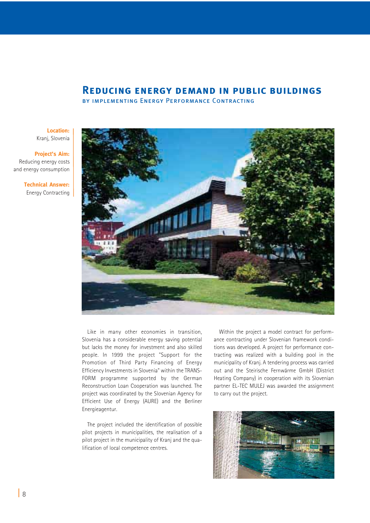#### **Reducing energy demand in public buildings**

by implementing Energy Performance Contracting

**Location:** Kranj, Slovenia

**Project's Aim:**  Reducing energy costs and energy consumption

> **Technical Answer:** Energy Contracting



Like in many other economies in transition, Slovenia has a considerable energy saving potential but lacks the money for investment and also skilled people. In 1999 the project "Support for the Promotion of Third Party Financing of Energy Efficiency Investments in Slovenia" within the TRANS-FORM programme supported by the German Reconstruction Loan Cooperation was launched. The project was coordinated by the Slovenian Agency for Efficient Use of Energy (AURE) and the Berliner Energieagentur.

The project included the identification of possible pilot projects in municipalities, the realisation of a pilot project in the municipality of Kranj and the qualification of local competence centres.

Within the project a model contract for performance contracting under Slovenian framework conditions was developed. A project for performance contracting was realized with a building pool in the municipality of Kranj. A tendering process was carried out and the Steirische Fernwärme GmbH (District Heating Company) in cooperation with its Slovenian partner EL-TEC MULEJ was awarded the assignment to carry out the project.

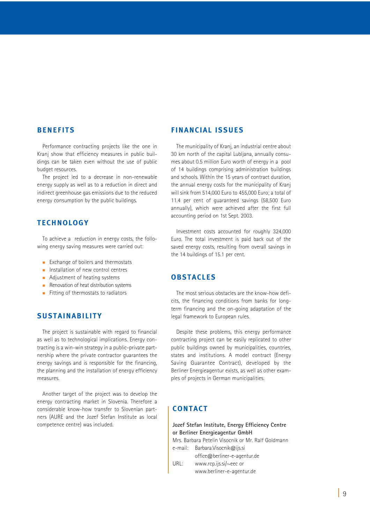#### **BENEFITS**

Performance contracting projects like the one in Kranj show that efficiency measures in public buildings can be taken even without the use of public budget resources.

The project led to a decrease in non-renewable energy supply as well as to a reduction in direct and indirect greenhouse gas emissions due to the reduced energy consumption by the public buildings.

#### **TECHNOLOGY**

To achieve a reduction in energy costs, the following energy saving measures were carried out:

- **Exchange of boilers and thermostats**
- $\blacksquare$  Installation of new control centres
- Adjustment of heating systems
- **Renovation of heat distribution systems**
- Fitting of thermostats to radiators

#### **SUSTAINABILITY**

The project is sustainable with regard to financial as well as to technological implications. Energy contracting is a win-win strategy in a public-private partnership where the private contractor guarantees the energy savings and is responsible for the financing, the planning and the installation of energy efficiency measures.

Another target of the project was to develop the energy contracting market in Slovenia. Therefore a considerable know-how transfer to Slovenian partners (AURE and the Jozef Stefan Institute as local competence centre) was included.

## **FINANCIAL ISSUES**

The municipality of Kranj, an industrial centre about 30 km north of the capital Lubljana, annually consumes about 0.5 million Euro worth of energy in a pool of 14 buildings comprising administration buildings and schools. Within the 15 years of contract duration, the annual energy costs for the municipality of Kranj will sink from 514,000 Euro to 455,000 Euro; a total of 11.4 per cent of guaranteed savings (58,500 Euro annually), which were achieved after the first full accounting period on 1st Sept. 2003.

Investment costs accounted for roughly 324,000 Euro. The total investment is paid back out of the saved energy costs, resulting from overall savings in the 14 buildings of 15.1 per cent.

#### **OBSTACLES**

The most serious obstacles are the know-how deficits, the financing conditions from banks for longterm financing and the on-going adaptation of the legal framework to European rules.

Despite these problems, this energy performance contracting project can be easily replicated to other public buildings owned by municipalities, countries, states and institutions. A model contract (Energy Saving Guarantee Contract), developed by the Berliner Energieagentur exists, as well as other examples of projects in German municipalities.

## **CONTACT**

#### **Jozef Stefan Institute, Energy Efficiency Centre or Berliner Energieagentur GmbH**

Mrs. Barbara Petelin Visocnik or Mr. Ralf Goldmann e-mail: Barbara.Visocnik@ijs.si

office@berliner-e-agentur.de URL: www.rcp.ijs.si/~eec or www.berliner-e-agentur.de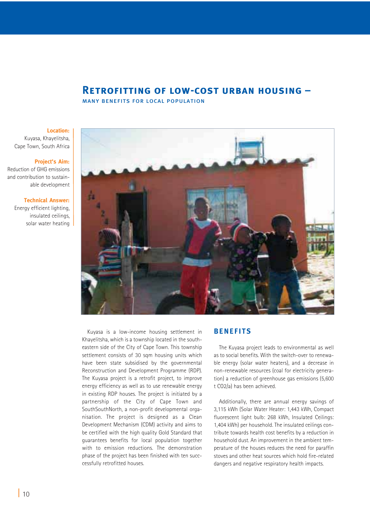## **Retrofitting of low-cost urban housing –**

many benefits for local population

#### **Location:**

Kuyasa, Khayelitsha, Cape Town, South Africa

#### **Project's Aim:**

Reduction of GHG emissions and contribution to sustainable development

#### **Technical Answer:**

Energy efficient lighting, insulated ceilings, solar water heating



Kuyasa is a low-income housing settlement in Khayelitsha, which is a township located in the southeastern side of the City of Cape Town. This township settlement consists of 30 sqm housing units which have been state subsidised by the governmental Reconstruction and Development Programme (RDP). The Kuyasa project is a retrofit project, to improve energy efficiency as well as to use renewable energy in existing RDP houses. The project is initiated by a partnership of the City of Cape Town and SouthSouthNorth, a non-profit developmental organisation. The project is designed as a Clean Development Mechanism (CDM) activity and aims to be certified with the high quality Gold Standard that guarantees benefits for local population together with to emission reductions. The demonstration phase of the project has been finished with ten succcessfully retrofitted houses.

#### **BENEFITS**

The Kuyasa project leads to environmental as well as to social benefits. With the switch-over to renewable energy (solar water heaters), and a decrease in non-renewable resources (coal for electricity generation) a reduction of greenhouse gas emissions (5,600 t CO2/a) has been achieved.

Additionally, there are annual energy savings of 3,115 kWh (Solar Water Heater: 1,443 kWh, Compact fluorescent light bulb: 268 kWh, Insulated Ceilings: 1,404 kWh) per household. The insulated ceilings contribute towards health cost benefits by a reduction in household dust. An improvement in the ambient temperature of the houses reduces the need for paraffin stoves and other heat sources which hold fire-related dangers and negative respiratory health impacts.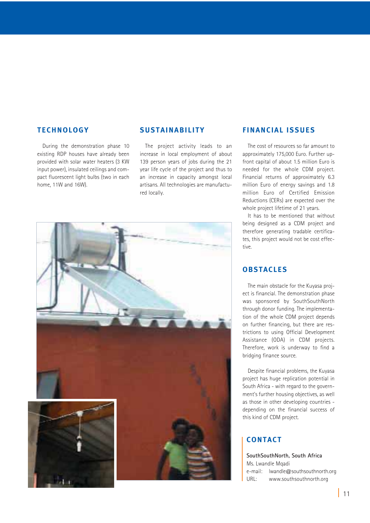#### **TECHNOLOGY**

During the demonstration phase 10 existing RDP houses have already been provided with solar water heaters (3 KW input power), insulated ceilings and compact fluorescent light bulbs (two in each home, 11W and 16W).

#### **SUSTAINABILITY**

The project activity leads to an increase in local employment of about 139 person years of jobs during the 21 year life cycle of the project and thus to an increase in capacity amongst local artisans. All technologies are manufactured locally.



#### **FINANCIAL ISSUES**

The cost of resources so far amount to approximately 175,000 Euro. Further upfront capital of about 1.5 million Euro is needed for the whole CDM project. Financial returns of approximately 6.3 million Euro of energy savings and 1.8 million Euro of Certified Emission Reductions (CERs) are expected over the whole project lifetime of 21 years.

It has to be mentioned that without being designed as a CDM project and therefore generating tradable certificates, this project would not be cost effective.

## **OBSTACLES**

The main obstacle for the Kuyasa project is financial. The demonstration phase was sponsored by SouthSouthNorth through donor funding. The implementation of the whole CDM project depends on further financing, but there are restrictions to using Official Development Assistance (ODA) in CDM projects. Therefore, work is underway to find a bridging finance source.

Despite financial problems, the Kuyasa project has huge replication potential in South Africa - with regard to the government's further housing objectives, as well as those in other developing countries depending on the financial success of this kind of CDM project.

## **CONTACT**

**SouthSouthNorth, South Africa** Ms. Lwandle Mqadi e-mail: lwandle@southsouthnorth.org URL: www.southsouthnorth.org